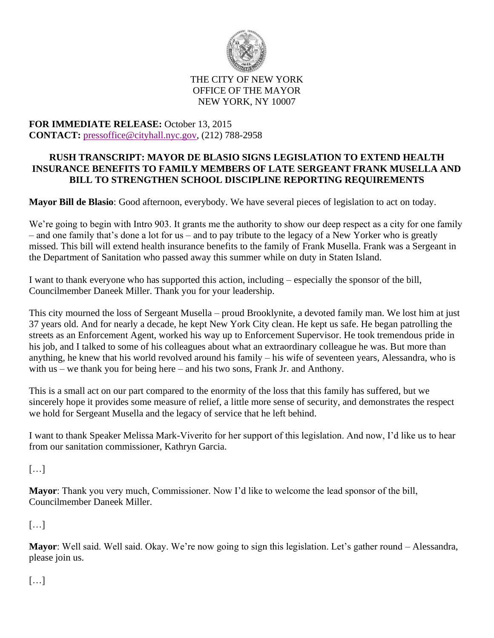

## THE CITY OF NEW YORK OFFICE OF THE MAYOR NEW YORK, NY 10007

## **FOR IMMEDIATE RELEASE:** October 13, 2015 **CONTACT:** [pressoffice@cityhall.nyc.gov,](mailto:pressoffice@cityhall.nyc.gov) (212) 788-2958

## **RUSH TRANSCRIPT: MAYOR DE BLASIO SIGNS LEGISLATION TO EXTEND HEALTH INSURANCE BENEFITS TO FAMILY MEMBERS OF LATE SERGEANT FRANK MUSELLA AND BILL TO STRENGTHEN SCHOOL DISCIPLINE REPORTING REQUIREMENTS**

**Mayor Bill de Blasio**: Good afternoon, everybody. We have several pieces of legislation to act on today.

We're going to begin with Intro 903. It grants me the authority to show our deep respect as a city for one family – and one family that's done a lot for us – and to pay tribute to the legacy of a New Yorker who is greatly missed. This bill will extend health insurance benefits to the family of Frank Musella. Frank was a Sergeant in the Department of Sanitation who passed away this summer while on duty in Staten Island.

I want to thank everyone who has supported this action, including – especially the sponsor of the bill, Councilmember Daneek Miller. Thank you for your leadership.

This city mourned the loss of Sergeant Musella – proud Brooklynite, a devoted family man. We lost him at just 37 years old. And for nearly a decade, he kept New York City clean. He kept us safe. He began patrolling the streets as an Enforcement Agent, worked his way up to Enforcement Supervisor. He took tremendous pride in his job, and I talked to some of his colleagues about what an extraordinary colleague he was. But more than anything, he knew that his world revolved around his family – his wife of seventeen years, Alessandra, who is with us – we thank you for being here – and his two sons, Frank Jr. and Anthony.

This is a small act on our part compared to the enormity of the loss that this family has suffered, but we sincerely hope it provides some measure of relief, a little more sense of security, and demonstrates the respect we hold for Sergeant Musella and the legacy of service that he left behind.

I want to thank Speaker Melissa Mark-Viverito for her support of this legislation. And now, I'd like us to hear from our sanitation commissioner, Kathryn Garcia.

[…]

**Mayor**: Thank you very much, Commissioner. Now I'd like to welcome the lead sponsor of the bill, Councilmember Daneek Miller.

 $[...]$ 

**Mayor**: Well said. Well said. Okay. We're now going to sign this legislation. Let's gather round – Alessandra, please join us.

 $[\ldots]$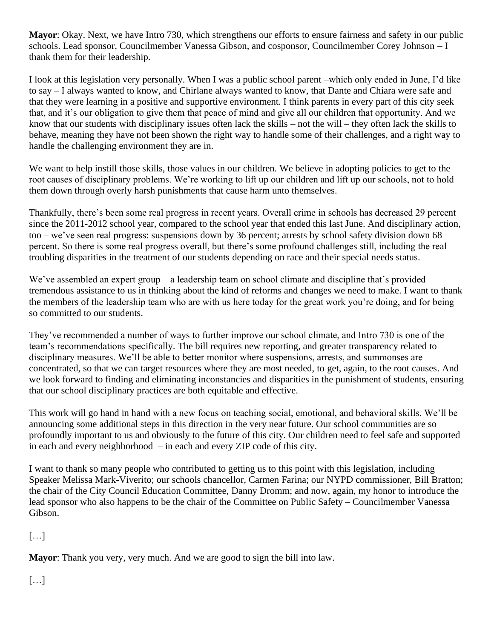**Mayor**: Okay. Next, we have Intro 730, which strengthens our efforts to ensure fairness and safety in our public schools. Lead sponsor, Councilmember Vanessa Gibson, and cosponsor, Councilmember Corey Johnson – I thank them for their leadership.

I look at this legislation very personally. When I was a public school parent –which only ended in June, I'd like to say – I always wanted to know, and Chirlane always wanted to know, that Dante and Chiara were safe and that they were learning in a positive and supportive environment. I think parents in every part of this city seek that, and it's our obligation to give them that peace of mind and give all our children that opportunity. And we know that our students with disciplinary issues often lack the skills – not the will – they often lack the skills to behave, meaning they have not been shown the right way to handle some of their challenges, and a right way to handle the challenging environment they are in.

We want to help instill those skills, those values in our children. We believe in adopting policies to get to the root causes of disciplinary problems. We're working to lift up our children and lift up our schools, not to hold them down through overly harsh punishments that cause harm unto themselves.

Thankfully, there's been some real progress in recent years. Overall crime in schools has decreased 29 percent since the 2011-2012 school year, compared to the school year that ended this last June. And disciplinary action, too – we've seen real progress: suspensions down by 36 percent; arrests by school safety division down 68 percent. So there is some real progress overall, but there's some profound challenges still, including the real troubling disparities in the treatment of our students depending on race and their special needs status.

We've assembled an expert group – a leadership team on school climate and discipline that's provided tremendous assistance to us in thinking about the kind of reforms and changes we need to make. I want to thank the members of the leadership team who are with us here today for the great work you're doing, and for being so committed to our students.

They've recommended a number of ways to further improve our school climate, and Intro 730 is one of the team's recommendations specifically. The bill requires new reporting, and greater transparency related to disciplinary measures. We'll be able to better monitor where suspensions, arrests, and summonses are concentrated, so that we can target resources where they are most needed, to get, again, to the root causes. And we look forward to finding and eliminating inconstancies and disparities in the punishment of students, ensuring that our school disciplinary practices are both equitable and effective.

This work will go hand in hand with a new focus on teaching social, emotional, and behavioral skills. We'll be announcing some additional steps in this direction in the very near future. Our school communities are so profoundly important to us and obviously to the future of this city. Our children need to feel safe and supported in each and every neighborhood – in each and every ZIP code of this city.

I want to thank so many people who contributed to getting us to this point with this legislation, including Speaker Melissa Mark-Viverito; our schools chancellor, Carmen Farina; our NYPD commissioner, Bill Bratton; the chair of the City Council Education Committee, Danny Dromm; and now, again, my honor to introduce the lead sponsor who also happens to be the chair of the Committee on Public Safety – Councilmember Vanessa Gibson.

[…]

**Mayor**: Thank you very, very much. And we are good to sign the bill into law.

[…]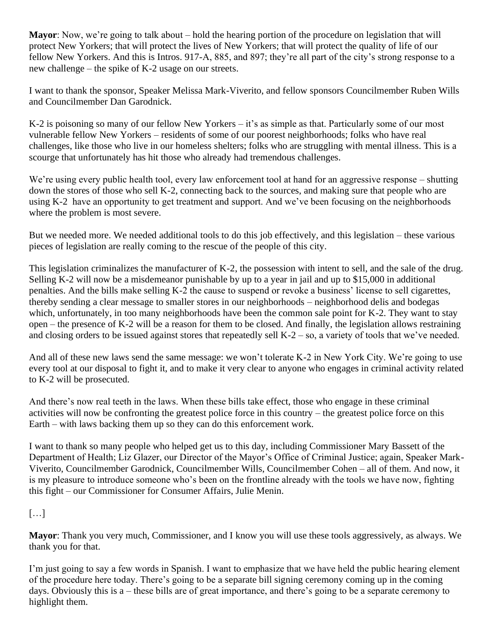**Mayor**: Now, we're going to talk about – hold the hearing portion of the procedure on legislation that will protect New Yorkers; that will protect the lives of New Yorkers; that will protect the quality of life of our fellow New Yorkers. And this is Intros. 917-A, 885, and 897; they're all part of the city's strong response to a new challenge – the spike of K-2 usage on our streets.

I want to thank the sponsor, Speaker Melissa Mark-Viverito, and fellow sponsors Councilmember Ruben Wills and Councilmember Dan Garodnick.

K-2 is poisoning so many of our fellow New Yorkers – it's as simple as that. Particularly some of our most vulnerable fellow New Yorkers – residents of some of our poorest neighborhoods; folks who have real challenges, like those who live in our homeless shelters; folks who are struggling with mental illness. This is a scourge that unfortunately has hit those who already had tremendous challenges.

We're using every public health tool, every law enforcement tool at hand for an aggressive response – shutting down the stores of those who sell K-2, connecting back to the sources, and making sure that people who are using K-2 have an opportunity to get treatment and support. And we've been focusing on the neighborhoods where the problem is most severe.

But we needed more. We needed additional tools to do this job effectively, and this legislation – these various pieces of legislation are really coming to the rescue of the people of this city.

This legislation criminalizes the manufacturer of K-2, the possession with intent to sell, and the sale of the drug. Selling K-2 will now be a misdemeanor punishable by up to a year in jail and up to \$15,000 in additional penalties. And the bills make selling K-2 the cause to suspend or revoke a business' license to sell cigarettes, thereby sending a clear message to smaller stores in our neighborhoods – neighborhood delis and bodegas which, unfortunately, in too many neighborhoods have been the common sale point for K-2. They want to stay open – the presence of K-2 will be a reason for them to be closed. And finally, the legislation allows restraining and closing orders to be issued against stores that repeatedly sell K-2 – so, a variety of tools that we've needed.

And all of these new laws send the same message: we won't tolerate K-2 in New York City. We're going to use every tool at our disposal to fight it, and to make it very clear to anyone who engages in criminal activity related to K-2 will be prosecuted.

And there's now real teeth in the laws. When these bills take effect, those who engage in these criminal activities will now be confronting the greatest police force in this country – the greatest police force on this Earth – with laws backing them up so they can do this enforcement work.

I want to thank so many people who helped get us to this day, including Commissioner Mary Bassett of the Department of Health; Liz Glazer, our Director of the Mayor's Office of Criminal Justice; again, Speaker Mark-Viverito, Councilmember Garodnick, Councilmember Wills, Councilmember Cohen – all of them. And now, it is my pleasure to introduce someone who's been on the frontline already with the tools we have now, fighting this fight – our Commissioner for Consumer Affairs, Julie Menin.

 $[\ldots]$ 

**Mayor**: Thank you very much, Commissioner, and I know you will use these tools aggressively, as always. We thank you for that.

I'm just going to say a few words in Spanish. I want to emphasize that we have held the public hearing element of the procedure here today. There's going to be a separate bill signing ceremony coming up in the coming days. Obviously this is a – these bills are of great importance, and there's going to be a separate ceremony to highlight them.